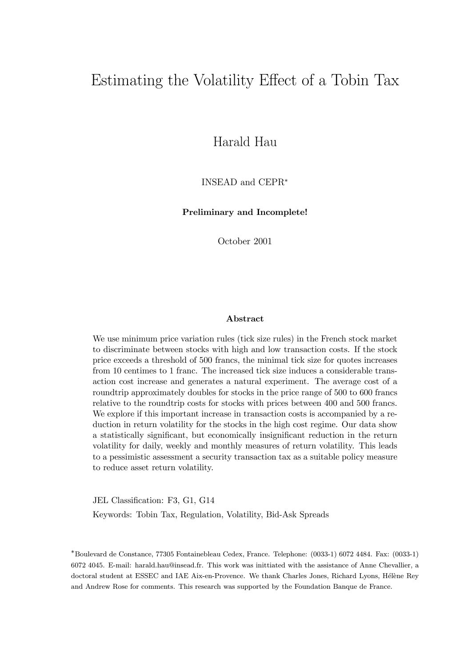# Estimating the Volatility Effect of a Tobin Tax

Harald Hau

INSEAD and CEPR<sup>∗</sup>

Preliminary and Incomplete!

October 2001

#### Abstract

We use minimum price variation rules (tick size rules) in the French stock market to discriminate between stocks with high and low transaction costs. If the stock price exceeds a threshold of 500 francs, the minimal tick size for quotes increases from 10 centimes to 1 franc. The increased tick size induces a considerable transaction cost increase and generates a natural experiment. The average cost of a roundtrip approximately doubles for stocks in the price range of 500 to 600 francs relative to the roundtrip costs for stocks with prices between 400 and 500 francs. We explore if this important increase in transaction costs is accompanied by a reduction in return volatility for the stocks in the high cost regime. Our data show a statistically significant, but economically insignificant reduction in the return volatility for daily, weekly and monthly measures of return volatility. This leads to a pessimistic assessment a security transaction tax as a suitable policy measure to reduce asset return volatility.

JEL Classification: F3, G1, G14 Keywords: Tobin Tax, Regulation, Volatility, Bid-Ask Spreads

∗Boulevard de Constance, 77305 Fontainebleau Cedex, France. Telephone: (0033-1) 6072 4484. Fax: (0033-1) 6072 4045. E-mail: harald.hau@insead.fr. This work was inittiated with the assistance of Anne Chevallier, a doctoral student at ESSEC and IAE Aix-en-Provence. We thank Charles Jones, Richard Lyons, Hélène Rey and Andrew Rose for comments. This research was supported by the Foundation Banque de France.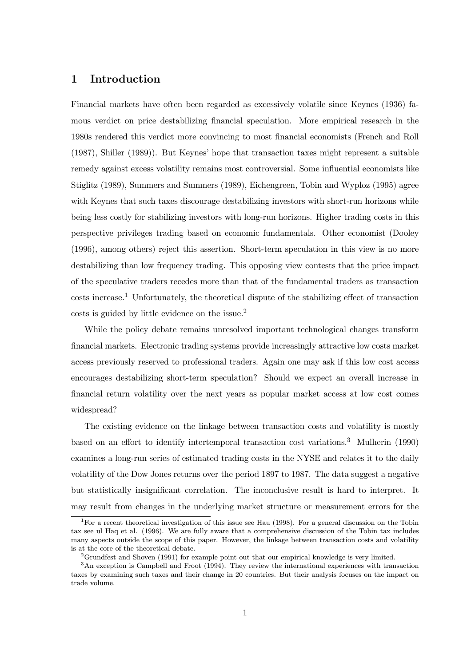# 1 Introduction

Financial markets have often been regarded as excessively volatile since Keynes (1936) famous verdict on price destabilizing financial speculation. More empirical research in the 1980s rendered this verdict more convincing to most financial economists (French and Roll (1987), Shiller (1989)). But Keynesí hope that transaction taxes might represent a suitable remedy against excess volatility remains most controversial. Some influential economists like Stiglitz (1989), Summers and Summers (1989), Eichengreen, Tobin and Wyploz (1995) agree with Keynes that such taxes discourage destabilizing investors with short-run horizons while being less costly for stabilizing investors with long-run horizons. Higher trading costs in this perspective privileges trading based on economic fundamentals. Other economist (Dooley (1996), among others) reject this assertion. Short-term speculation in this view is no more destabilizing than low frequency trading. This opposing view contests that the price impact of the speculative traders recedes more than that of the fundamental traders as transaction costs increase.<sup>1</sup> Unfortunately, the theoretical dispute of the stabilizing effect of transaction costs is guided by little evidence on the issue.<sup>2</sup>

While the policy debate remains unresolved important technological changes transform financial markets. Electronic trading systems provide increasingly attractive low costs market access previously reserved to professional traders. Again one may ask if this low cost access encourages destabilizing short-term speculation? Should we expect an overall increase in financial return volatility over the next years as popular market access at low cost comes widespread?

The existing evidence on the linkage between transaction costs and volatility is mostly based on an effort to identify intertemporal transaction cost variations.<sup>3</sup> Mulherin (1990) examines a long-run series of estimated trading costs in the NYSE and relates it to the daily volatility of the Dow Jones returns over the period 1897 to 1987. The data suggest a negative but statistically insignificant correlation. The inconclusive result is hard to interpret. It may result from changes in the underlying market structure or measurement errors for the

<sup>&</sup>lt;sup>1</sup>For a recent theoretical investigation of this issue see Hau (1998). For a general discussion on the Tobin tax see ul Haq et al. (1996). We are fully aware that a comprehensive discussion of the Tobin tax includes many aspects outside the scope of this paper. However, the linkage between transaction costs and volatility is at the core of the theoretical debate.

<sup>2</sup>Grundfest and Shoven (1991) for example point out that our empirical knowledge is very limited.

<sup>&</sup>lt;sup>3</sup>An exception is Campbell and Froot (1994). They review the international experiences with transaction taxes by examining such taxes and their change in 20 countries. But their analysis focuses on the impact on trade volume.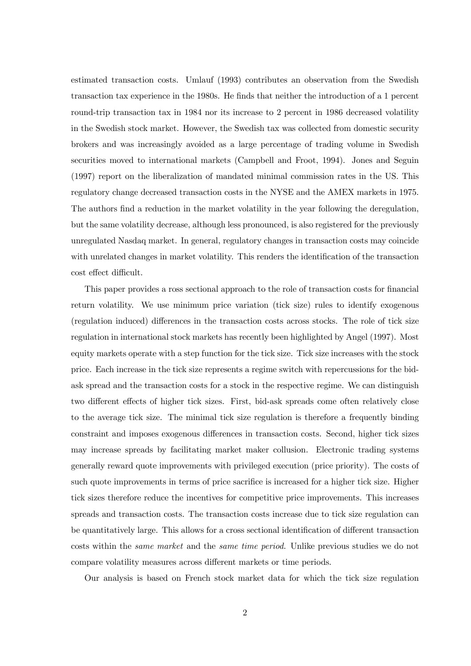estimated transaction costs. Umlauf (1993) contributes an observation from the Swedish transaction tax experience in the 1980s. He finds that neither the introduction of a 1 percent round-trip transaction tax in 1984 nor its increase to 2 percent in 1986 decreased volatility in the Swedish stock market. However, the Swedish tax was collected from domestic security brokers and was increasingly avoided as a large percentage of trading volume in Swedish securities moved to international markets (Campbell and Froot, 1994). Jones and Seguin (1997) report on the liberalization of mandated minimal commission rates in the US. This regulatory change decreased transaction costs in the NYSE and the AMEX markets in 1975. The authors find a reduction in the market volatility in the year following the deregulation, but the same volatility decrease, although less pronounced, is also registered for the previously unregulated Nasdaq market. In general, regulatory changes in transaction costs may coincide with unrelated changes in market volatility. This renders the identification of the transaction cost effect difficult.

This paper provides a ross sectional approach to the role of transaction costs for financial return volatility. We use minimum price variation (tick size) rules to identify exogenous (regulation induced) differences in the transaction costs across stocks. The role of tick size regulation in international stock markets has recently been highlighted by Angel (1997). Most equity markets operate with a step function for the tick size. Tick size increases with the stock price. Each increase in the tick size represents a regime switch with repercussions for the bidask spread and the transaction costs for a stock in the respective regime. We can distinguish two different effects of higher tick sizes. First, bid-ask spreads come often relatively close to the average tick size. The minimal tick size regulation is therefore a frequently binding constraint and imposes exogenous differences in transaction costs. Second, higher tick sizes may increase spreads by facilitating market maker collusion. Electronic trading systems generally reward quote improvements with privileged execution (price priority). The costs of such quote improvements in terms of price sacrifice is increased for a higher tick size. Higher tick sizes therefore reduce the incentives for competitive price improvements. This increases spreads and transaction costs. The transaction costs increase due to tick size regulation can be quantitatively large. This allows for a cross sectional identification of different transaction costs within the same market and the same time period. Unlike previous studies we do not compare volatility measures across different markets or time periods.

Our analysis is based on French stock market data for which the tick size regulation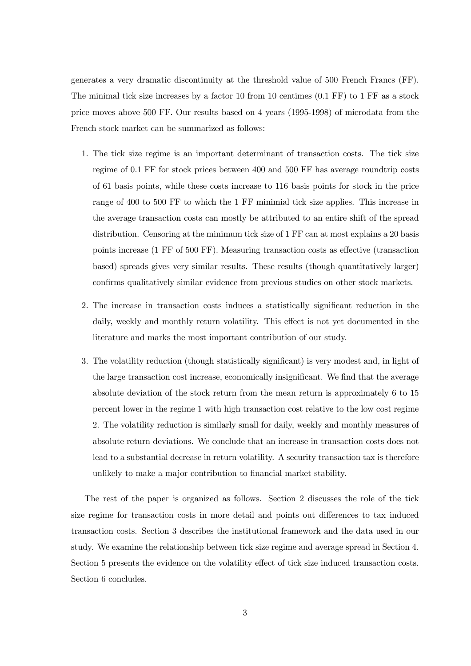generates a very dramatic discontinuity at the threshold value of 500 French Francs (FF). The minimal tick size increases by a factor 10 from 10 centimes  $(0.1 \text{ FF})$  to 1 FF as a stock price moves above 500 FF. Our results based on 4 years (1995-1998) of microdata from the French stock market can be summarized as follows:

- 1. The tick size regime is an important determinant of transaction costs. The tick size regime of 0.1 FF for stock prices between 400 and 500 FF has average roundtrip costs of 61 basis points, while these costs increase to 116 basis points for stock in the price range of 400 to 500 FF to which the 1 FF minimial tick size applies. This increase in the average transaction costs can mostly be attributed to an entire shift of the spread distribution. Censoring at the minimum tick size of 1 FF can at most explains a 20 basis points increase (1 FF of 500 FF). Measuring transaction costs as effective (transaction based) spreads gives very similar results. These results (though quantitatively larger) confirms qualitatively similar evidence from previous studies on other stock markets.
- 2. The increase in transaction costs induces a statistically significant reduction in the daily, weekly and monthly return volatility. This effect is not yet documented in the literature and marks the most important contribution of our study.
- 3. The volatility reduction (though statistically significant) is very modest and, in light of the large transaction cost increase, economically insignificant. We find that the average absolute deviation of the stock return from the mean return is approximately 6 to 15 percent lower in the regime 1 with high transaction cost relative to the low cost regime 2. The volatility reduction is similarly small for daily, weekly and monthly measures of absolute return deviations. We conclude that an increase in transaction costs does not lead to a substantial decrease in return volatility. A security transaction tax is therefore unlikely to make a major contribution to financial market stability.

The rest of the paper is organized as follows. Section 2 discusses the role of the tick size regime for transaction costs in more detail and points out differences to tax induced transaction costs. Section 3 describes the institutional framework and the data used in our study. We examine the relationship between tick size regime and average spread in Section 4. Section 5 presents the evidence on the volatility effect of tick size induced transaction costs. Section 6 concludes.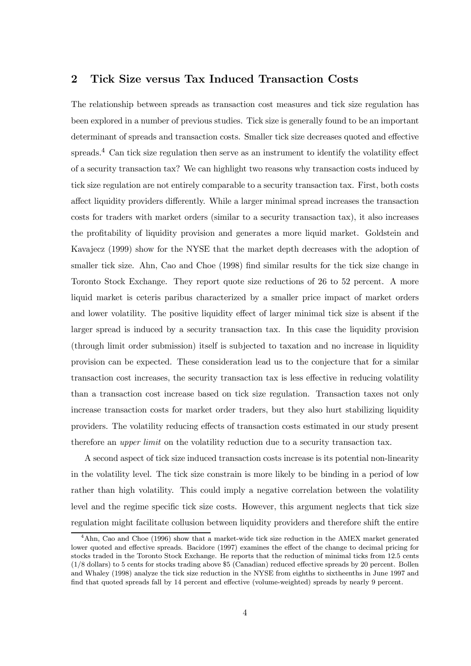# 2 Tick Size versus Tax Induced Transaction Costs

The relationship between spreads as transaction cost measures and tick size regulation has been explored in a number of previous studies. Tick size is generally found to be an important determinant of spreads and transaction costs. Smaller tick size decreases quoted and effective spreads.<sup>4</sup> Can tick size regulation then serve as an instrument to identify the volatility effect of a security transaction tax? We can highlight two reasons why transaction costs induced by tick size regulation are not entirely comparable to a security transaction tax. First, both costs affect liquidity providers differently. While a larger minimal spread increases the transaction costs for traders with market orders (similar to a security transaction tax), it also increases the profitability of liquidity provision and generates a more liquid market. Goldstein and Kavajecz (1999) show for the NYSE that the market depth decreases with the adoption of smaller tick size. Ahn, Cao and Choe (1998) find similar results for the tick size change in Toronto Stock Exchange. They report quote size reductions of 26 to 52 percent. A more liquid market is ceteris paribus characterized by a smaller price impact of market orders and lower volatility. The positive liquidity effect of larger minimal tick size is absent if the larger spread is induced by a security transaction tax. In this case the liquidity provision (through limit order submission) itself is subjected to taxation and no increase in liquidity provision can be expected. These consideration lead us to the conjecture that for a similar transaction cost increases, the security transaction tax is less effective in reducing volatility than a transaction cost increase based on tick size regulation. Transaction taxes not only increase transaction costs for market order traders, but they also hurt stabilizing liquidity providers. The volatility reducing effects of transaction costs estimated in our study present therefore an upper limit on the volatility reduction due to a security transaction tax.

A second aspect of tick size induced transaction costs increase is its potential non-linearity in the volatility level. The tick size constrain is more likely to be binding in a period of low rather than high volatility. This could imply a negative correlation between the volatility level and the regime specific tick size costs. However, this argument neglects that tick size regulation might facilitate collusion between liquidity providers and therefore shift the entire

<sup>&</sup>lt;sup>4</sup>Ahn, Cao and Choe (1996) show that a market-wide tick size reduction in the AMEX market generated lower quoted and effective spreads. Bacidore (1997) examines the effect of the change to decimal pricing for stocks traded in the Toronto Stock Exchange. He reports that the reduction of minimal ticks from 12.5 cents (1/8 dollars) to 5 cents for stocks trading above \$5 (Canadian) reduced effective spreads by 20 percent. Bollen and Whaley (1998) analyze the tick size reduction in the NYSE from eighths to sixtheenths in June 1997 and find that quoted spreads fall by 14 percent and effective (volume-weighted) spreads by nearly 9 percent.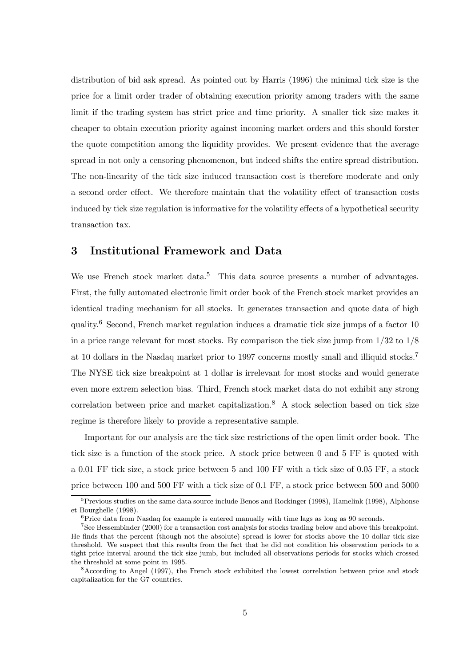distribution of bid ask spread. As pointed out by Harris (1996) the minimal tick size is the price for a limit order trader of obtaining execution priority among traders with the same limit if the trading system has strict price and time priority. A smaller tick size makes it cheaper to obtain execution priority against incoming market orders and this should forster the quote competition among the liquidity provides. We present evidence that the average spread in not only a censoring phenomenon, but indeed shifts the entire spread distribution. The non-linearity of the tick size induced transaction cost is therefore moderate and only a second order effect. We therefore maintain that the volatility effect of transaction costs induced by tick size regulation is informative for the volatility effects of a hypothetical security transaction tax.

## 3 Institutional Framework and Data

We use French stock market data.<sup>5</sup> This data source presents a number of advantages. First, the fully automated electronic limit order book of the French stock market provides an identical trading mechanism for all stocks. It generates transaction and quote data of high quality.<sup>6</sup> Second, French market regulation induces a dramatic tick size jumps of a factor 10 in a price range relevant for most stocks. By comparison the tick size jump from 1/32 to 1/8 at 10 dollars in the Nasdaq market prior to 1997 concerns mostly small and illiquid stocks.<sup>7</sup> The NYSE tick size breakpoint at 1 dollar is irrelevant for most stocks and would generate even more extrem selection bias. Third, French stock market data do not exhibit any strong correlation between price and market capitalization.<sup>8</sup> A stock selection based on tick size regime is therefore likely to provide a representative sample.

Important for our analysis are the tick size restrictions of the open limit order book. The tick size is a function of the stock price. A stock price between 0 and 5 FF is quoted with a 0.01 FF tick size, a stock price between 5 and 100 FF with a tick size of 0.05 FF, a stock price between 100 and 500 FF with a tick size of 0.1 FF, a stock price between 500 and 5000

 $5P$  Previous studies on the same data source include Benos and Rockinger (1998), Hamelink (1998), Alphonse et Bourghelle (1998).

 $6P$ rice data from Nasdaq for example is entered manually with time lags as long as 90 seconds.

<sup>7</sup>See Bessembinder (2000) for a transaction cost analysis for stocks trading below and above this breakpoint. He finds that the percent (though not the absolute) spread is lower for stocks above the 10 dollar tick size threshold. We suspect that this results from the fact that he did not condition his observation periods to a tight price interval around the tick size jumb, but included all observations periods for stocks which crossed the threshold at some point in 1995.

<sup>8</sup>According to Angel (1997), the French stock exhibited the lowest correlation between price and stock capitalization for the G7 countries.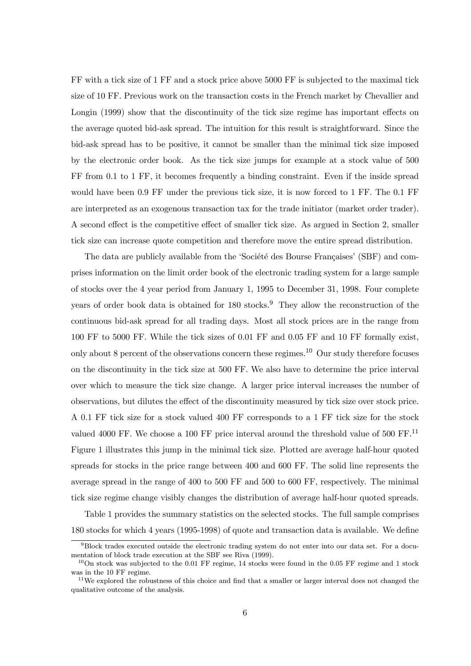FF with a tick size of 1 FF and a stock price above 5000 FF is subjected to the maximal tick size of 10 FF. Previous work on the transaction costs in the French market by Chevallier and Longin (1999) show that the discontinuity of the tick size regime has important effects on the average quoted bid-ask spread. The intuition for this result is straightforward. Since the bid-ask spread has to be positive, it cannot be smaller than the minimal tick size imposed by the electronic order book. As the tick size jumps for example at a stock value of 500 FF from 0.1 to 1 FF, it becomes frequently a binding constraint. Even if the inside spread would have been 0.9 FF under the previous tick size, it is now forced to 1 FF. The 0.1 FF are interpreted as an exogenous transaction tax for the trade initiator (market order trader). A second effect is the competitive effect of smaller tick size. As argued in Section 2, smaller tick size can increase quote competition and therefore move the entire spread distribution.

The data are publicly available from the 'Société des Bourse Françaises' (SBF) and comprises information on the limit order book of the electronic trading system for a large sample of stocks over the 4 year period from January 1, 1995 to December 31, 1998. Four complete years of order book data is obtained for 180 stocks.<sup>9</sup> They allow the reconstruction of the continuous bid-ask spread for all trading days. Most all stock prices are in the range from 100 FF to 5000 FF. While the tick sizes of 0.01 FF and 0.05 FF and 10 FF formally exist, only about 8 percent of the observations concern these regimes.<sup>10</sup> Our study therefore focuses on the discontinuity in the tick size at 500 FF. We also have to determine the price interval over which to measure the tick size change. A larger price interval increases the number of observations, but dilutes the effect of the discontinuity measured by tick size over stock price. A 0.1 FF tick size for a stock valued 400 FF corresponds to a 1 FF tick size for the stock valued 4000 FF. We choose a 100 FF price interval around the threshold value of 500 FF.<sup>11</sup> Figure 1 illustrates this jump in the minimal tick size. Plotted are average half-hour quoted spreads for stocks in the price range between 400 and 600 FF. The solid line represents the average spread in the range of 400 to 500 FF and 500 to 600 FF, respectively. The minimal tick size regime change visibly changes the distribution of average half-hour quoted spreads.

Table 1 provides the summary statistics on the selected stocks. The full sample comprises 180 stocks for which 4 years (1995-1998) of quote and transaction data is available. We define

 $9B$ lock trades executed outside the electronic trading system do not enter into our data set. For a documentation of block trade execution at the SBF see Riva (1999).

 $10$ On stock was subjected to the 0.01 FF regime, 14 stocks were found in the 0.05 FF regime and 1 stock was in the 10 FF regime.

<sup>&</sup>lt;sup>11</sup>We explored the robustness of this choice and find that a smaller or larger interval does not changed the qualitative outcome of the analysis.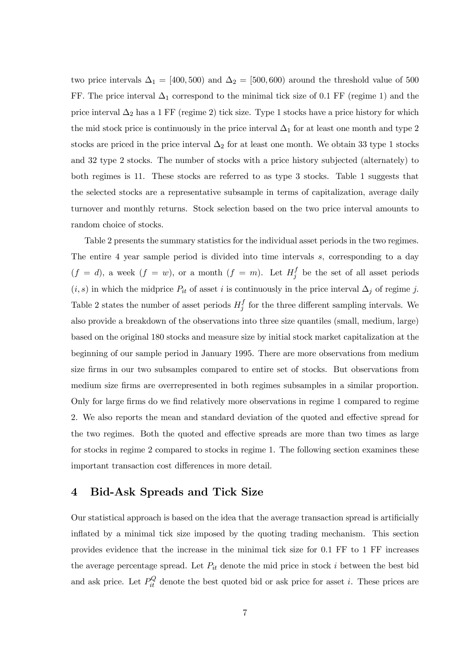two price intervals  $\Delta_1 = [400, 500)$  and  $\Delta_2 = [500, 600)$  around the threshold value of 500 FF. The price interval  $\Delta_1$  correspond to the minimal tick size of 0.1 FF (regime 1) and the price interval  $\Delta_2$  has a 1 FF (regime 2) tick size. Type 1 stocks have a price history for which the mid stock price is continuously in the price interval  $\Delta_1$  for at least one month and type 2 stocks are priced in the price interval  $\Delta_2$  for at least one month. We obtain 33 type 1 stocks and 32 type 2 stocks. The number of stocks with a price history subjected (alternately) to both regimes is 11. These stocks are referred to as type 3 stocks. Table 1 suggests that the selected stocks are a representative subsample in terms of capitalization, average daily turnover and monthly returns. Stock selection based on the two price interval amounts to random choice of stocks.

Table 2 presents the summary statistics for the individual asset periods in the two regimes. The entire 4 year sample period is divided into time intervals s, corresponding to a day  $(f = d)$ , a week  $(f = w)$ , or a month  $(f = m)$ . Let  $H_j^f$  be the set of all asset periods  $(i, s)$  in which the midprice  $P_{it}$  of asset i is continuously in the price interval  $\Delta_j$  of regime j. Table 2 states the number of asset periods  $H_j^f$  for the three different sampling intervals. We also provide a breakdown of the observations into three size quantiles (small, medium, large) based on the original 180 stocks and measure size by initial stock market capitalization at the beginning of our sample period in January 1995. There are more observations from medium size firms in our two subsamples compared to entire set of stocks. But observations from medium size firms are overrepresented in both regimes subsamples in a similar proportion. Only for large firms do we find relatively more observations in regime 1 compared to regime 2. We also reports the mean and standard deviation of the quoted and effective spread for the two regimes. Both the quoted and effective spreads are more than two times as large for stocks in regime 2 compared to stocks in regime 1. The following section examines these important transaction cost differences in more detail.

# 4 Bid-Ask Spreads and Tick Size

Our statistical approach is based on the idea that the average transaction spread is artificially inflated by a minimal tick size imposed by the quoting trading mechanism. This section provides evidence that the increase in the minimal tick size for 0.1 FF to 1 FF increases the average percentage spread. Let  $P_{it}$  denote the mid price in stock i between the best bid and ask price. Let  $P_{it}^Q$  denote the best quoted bid or ask price for asset i. These prices are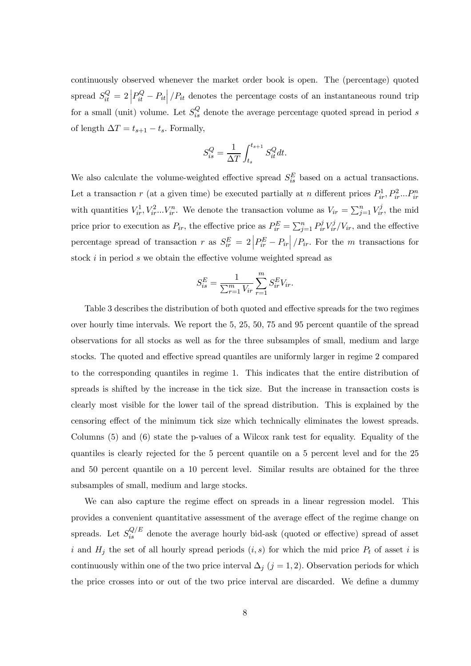continuously observed whenever the market order book is open. The (percentage) quoted spread  $S_{it}^Q = 2\left|P_{it}^Q - P_{it}\right|/P_{it}$  denotes the percentage costs of an instantaneous round trip for a small (unit) volume. Let  $S_{is}^Q$  denote the average percentage quoted spread in period s of length  $\Delta T = t_{s+1} - t_s$ . Formally,

$$
S_{is}^Q = \frac{1}{\Delta T} \int_{t_s}^{t_{s+1}} S_{it}^Q dt.
$$

We also calculate the volume-weighted effective spread  $S_{is}^E$  based on a actual transactions. Let a transaction r (at a given time) be executed partially at n different prices  $P_{ir}^1, P_{ir}^2...P_{ir}^n$ with quantities  $V_{ir}^1, V_{ir}^2...V_{ir}^n$ . We denote the transaction volume as  $V_{ir} = \sum_{j=1}^n V_{ir}^j$ , the mid price prior to execution as  $P_{ir}$ , the effective price as  $P_{ir}^E = \sum_{j=1}^n P_{ir}^j V_{ir}^j / V_{ir}$ , and the effective percentage spread of transaction r as  $S_{ir}^{E} = 2\left|P_{ir}^{E} - P_{ir}\right|/P_{ir}$ . For the m transactions for stock *i* in period *s* we obtain the effective volume weighted spread as

$$
S_{is}^{E} = \frac{1}{\sum_{r=1}^{m} V_{ir}} \sum_{r=1}^{m} S_{ir}^{E} V_{ir}.
$$

Table 3 describes the distribution of both quoted and effective spreads for the two regimes over hourly time intervals. We report the 5, 25, 50, 75 and 95 percent quantile of the spread observations for all stocks as well as for the three subsamples of small, medium and large stocks. The quoted and effective spread quantiles are uniformly larger in regime 2 compared to the corresponding quantiles in regime 1. This indicates that the entire distribution of spreads is shifted by the increase in the tick size. But the increase in transaction costs is clearly most visible for the lower tail of the spread distribution. This is explained by the censoring effect of the minimum tick size which technically eliminates the lowest spreads. Columns (5) and (6) state the p-values of a Wilcox rank test for equality. Equality of the quantiles is clearly rejected for the 5 percent quantile on a 5 percent level and for the 25 and 50 percent quantile on a 10 percent level. Similar results are obtained for the three subsamples of small, medium and large stocks.

We can also capture the regime effect on spreads in a linear regression model. This provides a convenient quantitative assessment of the average effect of the regime change on spreads. Let  $S_{is}^{Q/E}$  denote the average hourly bid-ask (quoted or effective) spread of asset i and  $H_j$  the set of all hourly spread periods  $(i, s)$  for which the mid price  $P_t$  of asset i is continuously within one of the two price interval  $\Delta_j$  (j = 1, 2). Observation periods for which the price crosses into or out of the two price interval are discarded. We define a dummy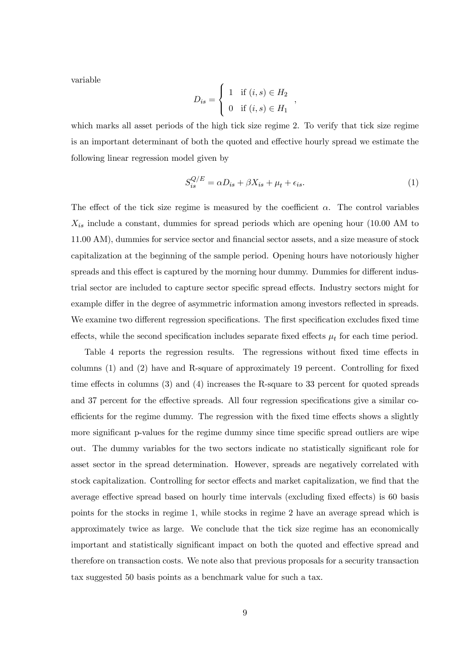variable

$$
D_{is} = \begin{cases} 1 & \text{if } (i,s) \in H_2 \\ 0 & \text{if } (i,s) \in H_1 \end{cases}
$$

which marks all asset periods of the high tick size regime 2. To verify that tick size regime is an important determinant of both the quoted and effective hourly spread we estimate the following linear regression model given by

$$
S_{is}^{Q/E} = \alpha D_{is} + \beta X_{is} + \mu_t + \epsilon_{is}.
$$
\n(1)

The effect of the tick size regime is measured by the coefficient  $\alpha$ . The control variables  $X_{is}$  include a constant, dummies for spread periods which are opening hour (10.00 AM to 11.00 AM), dummies for service sector and financial sector assets, and a size measure of stock capitalization at the beginning of the sample period. Opening hours have notoriously higher spreads and this effect is captured by the morning hour dummy. Dummies for different industrial sector are included to capture sector specific spread effects. Industry sectors might for example differ in the degree of asymmetric information among investors reflected in spreads. We examine two different regression specifications. The first specification excludes fixed time effects, while the second specification includes separate fixed effects  $\mu_t$  for each time period.

Table 4 reports the regression results. The regressions without fixed time effects in columns (1) and (2) have and R-square of approximately 19 percent. Controlling for fixed time effects in columns (3) and (4) increases the R-square to 33 percent for quoted spreads and 37 percent for the effective spreads. All four regression specifications give a similar coefficients for the regime dummy. The regression with the fixed time effects shows a slightly more significant p-values for the regime dummy since time specific spread outliers are wipe out. The dummy variables for the two sectors indicate no statistically significant role for asset sector in the spread determination. However, spreads are negatively correlated with stock capitalization. Controlling for sector effects and market capitalization, we find that the average effective spread based on hourly time intervals (excluding fixed effects) is 60 basis points for the stocks in regime 1, while stocks in regime 2 have an average spread which is approximately twice as large. We conclude that the tick size regime has an economically important and statistically significant impact on both the quoted and effective spread and therefore on transaction costs. We note also that previous proposals for a security transaction tax suggested 50 basis points as a benchmark value for such a tax.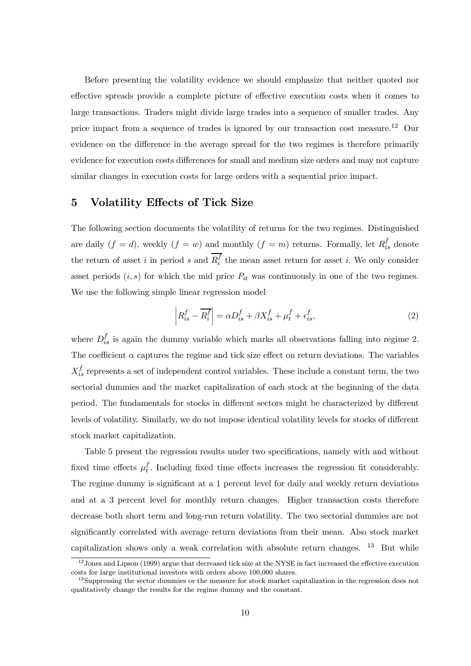Before presenting the volatility evidence we should emphasize that neither quoted nor effective spreads provide a complete picture of effective execution costs when it comes to large transactions. Traders might divide large trades into a sequence of smaller trades. Any price impact from a sequence of trades is ignored by our transaction cost measure.<sup>12</sup> Our evidence on the difference in the average spread for the two regimes is therefore primarily evidence for execution costs differences for small and medium size orders and may not capture similar changes in execution costs for large orders with a sequential price impact.

# 5 Volatility Effects of Tick Size

The following section documents the volatility of returns for the two regimes. Distinguished are daily  $(f = d)$ , weekly  $(f = w)$  and monthly  $(f = m)$  returns. Formally, let  $R_{is}^f$  denote the return of asset i in period s and  $R_i^f$  the mean asset return for asset i. We only consider asset periods  $(i, s)$  for which the mid price  $P_{it}$  was continuously in one of the two regimes. We use the following simple linear regression model

$$
\left| R_{is}^f - \overline{R_i^f} \right| = \alpha D_{is}^f + \beta X_{is}^f + \mu_t^f + \epsilon_{is}^f,
$$
\n(2)

where  $D_{is}^f$  is again the dummy variable which marks all observations falling into regime 2. The coefficient  $\alpha$  captures the regime and tick size effect on return deviations. The variables  $X_{is}^f$  represents a set of independent control variables. These include a constant term, the two sectorial dummies and the market capitalization of each stock at the beginning of the data period. The fundamentals for stocks in different sectors might be characterized by different levels of volatility. Similarly, we do not impose identical volatility levels for stocks of different stock market capitalization.

Table 5 present the regression results under two specifications, namely with and without fixed time effects  $\mu_t^f$ . Including fixed time effects increases the regression fit considerably. The regime dummy is significant at a 1 percent level for daily and weekly return deviations and at a 3 percent level for monthly return changes. Higher transaction costs therefore decrease both short term and long-run return volatility. The two sectorial dummies are not significantly correlated with average return deviations from their mean. Also stock market capitalization shows only a weak correlation with absolute return changes. <sup>13</sup> But while

<sup>&</sup>lt;sup>12</sup> Jones and Lipson (1999) argue that decreased tick size at the NYSE in fact increased the effective execution costs for large institutional investors with orders above 100,000 shares.

<sup>&</sup>lt;sup>13</sup>Suppressing the sector dummies or the measure for stock market capitalization in the regression does not qualitatively change the results for the regime dummy and the constant.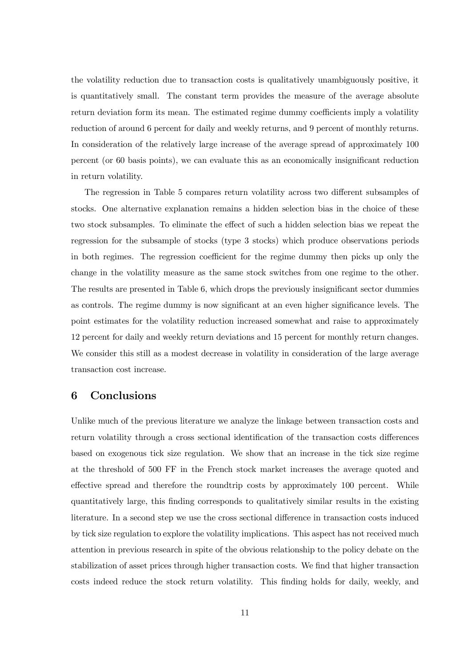the volatility reduction due to transaction costs is qualitatively unambiguously positive, it is quantitatively small. The constant term provides the measure of the average absolute return deviation form its mean. The estimated regime dummy coefficients imply a volatility reduction of around 6 percent for daily and weekly returns, and 9 percent of monthly returns. In consideration of the relatively large increase of the average spread of approximately 100 percent (or 60 basis points), we can evaluate this as an economically insignificant reduction in return volatility.

The regression in Table 5 compares return volatility across two different subsamples of stocks. One alternative explanation remains a hidden selection bias in the choice of these two stock subsamples. To eliminate the effect of such a hidden selection bias we repeat the regression for the subsample of stocks (type 3 stocks) which produce observations periods in both regimes. The regression coefficient for the regime dummy then picks up only the change in the volatility measure as the same stock switches from one regime to the other. The results are presented in Table 6, which drops the previously insignificant sector dummies as controls. The regime dummy is now significant at an even higher significance levels. The point estimates for the volatility reduction increased somewhat and raise to approximately 12 percent for daily and weekly return deviations and 15 percent for monthly return changes. We consider this still as a modest decrease in volatility in consideration of the large average transaction cost increase.

# 6 Conclusions

Unlike much of the previous literature we analyze the linkage between transaction costs and return volatility through a cross sectional identification of the transaction costs differences based on exogenous tick size regulation. We show that an increase in the tick size regime at the threshold of 500 FF in the French stock market increases the average quoted and effective spread and therefore the roundtrip costs by approximately 100 percent. While quantitatively large, this finding corresponds to qualitatively similar results in the existing literature. In a second step we use the cross sectional difference in transaction costs induced by tick size regulation to explore the volatility implications. This aspect has not received much attention in previous research in spite of the obvious relationship to the policy debate on the stabilization of asset prices through higher transaction costs. We find that higher transaction costs indeed reduce the stock return volatility. This finding holds for daily, weekly, and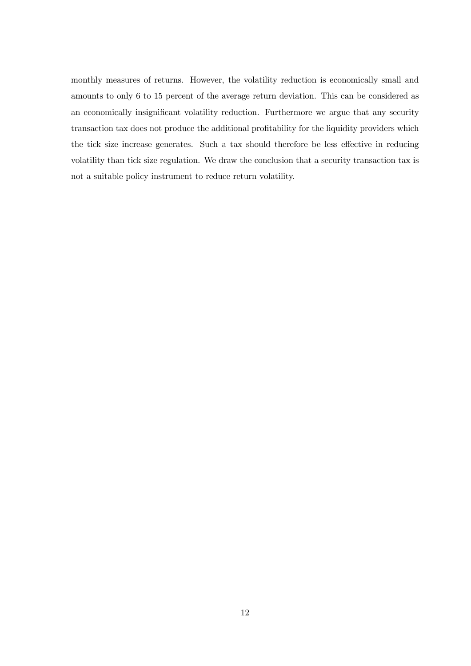monthly measures of returns. However, the volatility reduction is economically small and amounts to only 6 to 15 percent of the average return deviation. This can be considered as an economically insignificant volatility reduction. Furthermore we argue that any security transaction tax does not produce the additional profitability for the liquidity providers which the tick size increase generates. Such a tax should therefore be less effective in reducing volatility than tick size regulation. We draw the conclusion that a security transaction tax is not a suitable policy instrument to reduce return volatility.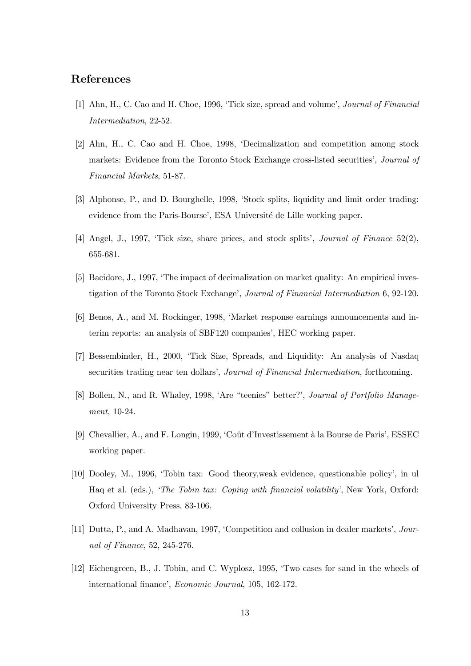## References

- [1] Ahn, H., C. Cao and H. Choe, 1996, 'Tick size, spread and volume', Journal of Financial Intermediation, 22-52.
- [2] Ahn, H., C. Cao and H. Choe, 1998, ëDecimalization and competition among stock markets: Evidence from the Toronto Stock Exchange cross-listed securities', *Journal of* Financial Markets, 51-87.
- [3] Alphonse, P., and D. Bourghelle, 1998, ëStock splits, liquidity and limit order trading: evidence from the Paris-Bourse', ESA Université de Lille working paper.
- [4] Angel, J., 1997, 'Tick size, share prices, and stock splits', *Journal of Finance* 52(2), 655-681.
- [5] Bacidore, J., 1997, 'The impact of decimalization on market quality: An empirical investigation of the Toronto Stock Exchange', *Journal of Financial Intermediation* 6, 92-120.
- [6] Benos, A., and M. Rockinger, 1998, ëMarket response earnings announcements and interim reports: an analysis of SBF120 companies', HEC working paper.
- [7] Bessembinder, H., 2000, ëTick Size, Spreads, and Liquidity: An analysis of Nasdaq securities trading near ten dollars', *Journal of Financial Intermediation*, forthcoming.
- [8] Bollen, N., and R. Whaley, 1998, 'Are "teenies" better?', Journal of Portfolio Management, 10-24.
- [9] Chevallier, A., and F. Longin, 1999, 'Coût d'Investissement à la Bourse de Paris', ESSEC working paper.
- [10] Dooley, M., 1996, ëTobin tax: Good theory,weak evidence, questionable policyí, in ul Haq et al. (eds.), *The Tobin tax: Coping with financial volatility'*, New York, Oxford: Oxford University Press, 83-106.
- [11] Dutta, P., and A. Madhavan, 1997, 'Competition and collusion in dealer markets', Journal of Finance, 52, 245-276.
- [12] Eichengreen, B., J. Tobin, and C. Wyplosz, 1995, ëTwo cases for sand in the wheels of international finance', Economic Journal, 105, 162-172.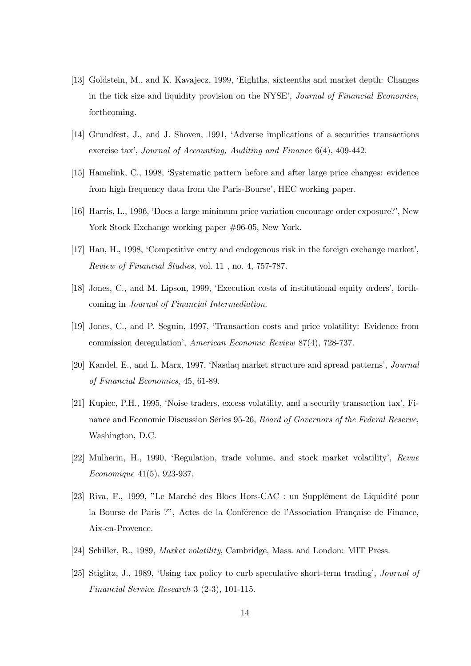- [13] Goldstein, M., and K. Kavajecz, 1999, ëEighths, sixteenths and market depth: Changes in the tick size and liquidity provision on the NYSE', *Journal of Financial Economics*, forthcoming.
- [14] Grundfest, J., and J. Shoven, 1991, ëAdverse implications of a securities transactions exercise tax', Journal of Accounting, Auditing and Finance 6(4), 409-442.
- [15] Hamelink, C., 1998, ëSystematic pattern before and after large price changes: evidence from high frequency data from the Paris-Bourse', HEC working paper.
- [16] Harris, L., 1996, 'Does a large minimum price variation encourage order exposure?', New York Stock Exchange working paper  $#96-05$ , New York.
- [17] Hau, H., 1998, 'Competitive entry and endogenous risk in the foreign exchange market', Review of Financial Studies, vol. 11 , no. 4, 757-787.
- [18] Jones, C., and M. Lipson, 1999, ëExecution costs of institutional equity ordersí, forthcoming in Journal of Financial Intermediation.
- [19] Jones, C., and P. Seguin, 1997, ëTransaction costs and price volatility: Evidence from commission deregulation<sup>'</sup>, American Economic Review 87(4), 728-737.
- [20] Kandel, E., and L. Marx, 1997, 'Nasdaq market structure and spread patterns', *Journal* of Financial Economics, 45, 61-89.
- [21] Kupiec, P.H., 1995, 'Noise traders, excess volatility, and a security transaction tax', Finance and Economic Discussion Series 95-26, Board of Governors of the Federal Reserve, Washington, D.C.
- [22] Mulherin, H., 1990, ëRegulation, trade volume, and stock market volatilityí, Revue Economique 41(5), 923-937.
- [23] Riva, F., 1999, "Le Marché des Blocs Hors-CAC : un Supplément de Liquidité pour la Bourse de Paris ?", Actes de la Conférence de l'Association Française de Finance, Aix-en-Provence.
- [24] Schiller, R., 1989, Market volatility, Cambridge, Mass. and London: MIT Press.
- [25] Stiglitz, J., 1989, 'Using tax policy to curb speculative short-term trading', *Journal of* Financial Service Research 3 (2-3), 101-115.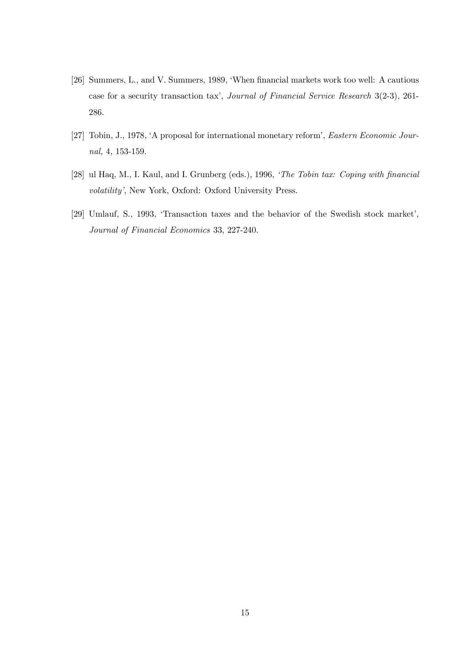- [26] Summers, L., and V. Summers, 1989, ëWhen financial markets work too well: A cautious case for a security transaction tax', Journal of Financial Service Research 3(2-3), 261-286.
- [27] Tobin, J., 1978, 'A proposal for international monetary reform', Eastern Economic Journal, 4, 153-159.
- [28] ul Haq, M., I. Kaul, and I. Grunberg (eds.), 1996, 'The Tobin tax: Coping with financial volatility', New York, Oxford: Oxford University Press.
- [29] Umlauf, S., 1993, 'Transaction taxes and the behavior of the Swedish stock market', Journal of Financial Economics 33, 227-240.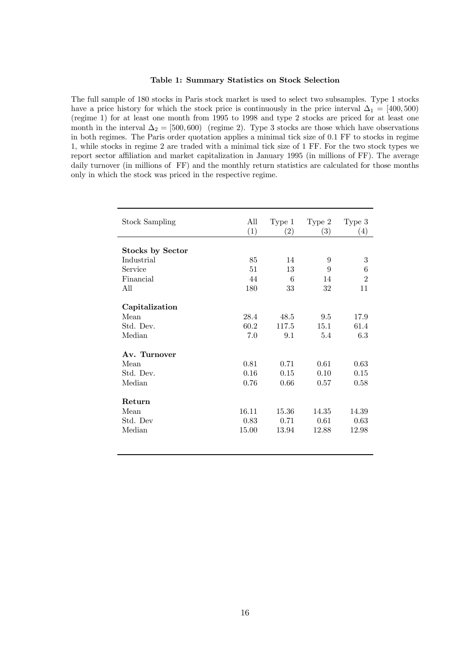#### Table 1: Summary Statistics on Stock Selection

The full sample of 180 stocks in Paris stock market is used to select two subsamples. Type 1 stocks have a price history for which the stock price is continuously in the price interval  $\Delta_1 = [400, 500]$ (regime 1) for at least one month from 1995 to 1998 and type 2 stocks are priced for at least one month in the interval  $\Delta_2 = [500, 600)$  (regime 2). Type 3 stocks are those which have observations in both regimes. The Paris order quotation applies a minimal tick size of 0.1 FF to stocks in regime 1, while stocks in regime 2 are traded with a minimal tick size of 1 FF. For the two stock types we report sector affiliation and market capitalization in January 1995 (in millions of FF). The average daily turnover (in millions of FF) and the monthly return statistics are calculated for those months only in which the stock was priced in the respective regime.

| <b>Stock Sampling</b>   | All<br>(1) | Type 1<br>$\left( 2\right)$ | Type 2<br>(3) | Type 3<br>(4)  |
|-------------------------|------------|-----------------------------|---------------|----------------|
| <b>Stocks by Sector</b> |            |                             |               |                |
| Industrial              | 85         | 14                          | 9             | 3              |
| Service                 | 51         | 13                          | 9             | 6              |
| Financial               | 44         | 6                           | 14            | $\overline{2}$ |
| All                     | 180        | 33                          | 32            | 11             |
| Capitalization          |            |                             |               |                |
| Mean                    | 28.4       | 48.5                        | 9.5           | 17.9           |
| Std. Dev.               | 60.2       | 117.5                       | 15.1          | 61.4           |
| Median                  | 7.0        | 9.1                         | 5.4           | 6.3            |
| Av. Turnover            |            |                             |               |                |
| Mean                    | 0.81       | 0.71                        | 0.61          | 0.63           |
| Std. Dev.               | 0.16       | 0.15                        | 0.10          | 0.15           |
| Median                  | 0.76       | 0.66                        | 0.57          | 0.58           |
| Return                  |            |                             |               |                |
| Mean                    | 16.11      | 15.36                       | 14.35         | 14.39          |
| Std. Dev                | 0.83       | 0.71                        | 0.61          | 0.63           |
| Median                  | 15.00      | 13.94                       | 12.88         | 12.98          |
|                         |            |                             |               |                |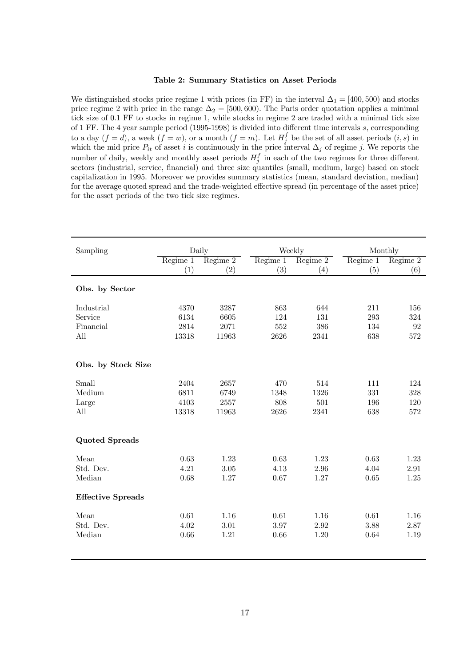#### Table 2: Summary Statistics on Asset Periods

We distinguished stocks price regime 1 with prices (in FF) in the interval  $\Delta_1 = [400, 500)$  and stocks price regime 2 with price in the range  $\Delta_2 = [500, 600)$ . The Paris order quotation applies a minimal tick size of 0.1 FF to stocks in regime 1, while stocks in regime 2 are traded with a minimal tick size of 1 FF. The 4 year sample period (1995-1998) is divided into different time intervals s, corresponding to a day  $(f = d)$ , a week  $(f = w)$ , or a month  $(f = m)$ . Let  $H_j^f$  be the set of all asset periods  $(i, s)$  in which the mid price  $P_{it}$  of asset i is continuously in the price interval  $\Delta_j$  of regime j. We reports the number of daily, weekly and monthly asset periods  $H_j^f$  in each of the two regimes for three different sectors (industrial, service, financial) and three size quantiles (small, medium, large) based on stock capitalization in 1995. Moreover we provides summary statistics (mean, standard deviation, median) for the average quoted spread and the trade-weighted effective spread (in percentage of the asset price) for the asset periods of the two tick size regimes.

| Sampling                 | Daily    |          |          | Weekly   | Monthly  |          |
|--------------------------|----------|----------|----------|----------|----------|----------|
|                          | Regime 1 | Regime 2 | Regime 1 | Regime 2 | Regime 1 | Regime 2 |
|                          | (1)      | (2)      | (3)      | (4)      | (5)      | (6)      |
| Obs. by Sector           |          |          |          |          |          |          |
| Industrial               | 4370     | 3287     | 863      | 644      | 211      | 156      |
| Service                  | 6134     | 6605     | 124      | 131      | 293      | 324      |
| Financial                | 2814     | 2071     | 552      | 386      | 134      | 92       |
| All                      | 13318    | 11963    | 2626     | 2341     | 638      | 572      |
| Obs. by Stock Size       |          |          |          |          |          |          |
| Small                    | 2404     | 2657     | 470      | 514      | 111      | 124      |
| Medium                   | 6811     | 6749     | 1348     | 1326     | 331      | 328      |
| Large                    | 4103     | 2557     | 808      | 501      | 196      | 120      |
| All                      | 13318    | 11963    | 2626     | 2341     | 638      | 572      |
| <b>Quoted Spreads</b>    |          |          |          |          |          |          |
| Mean                     | 0.63     | 1.23     | 0.63     | 1.23     | 0.63     | 1.23     |
| Std. Dev.                | 4.21     | $3.05\,$ | 4.13     | 2.96     | 4.04     | 2.91     |
| Median                   | 0.68     | 1.27     | 0.67     | 1.27     | $0.65\,$ | 1.25     |
| <b>Effective Spreads</b> |          |          |          |          |          |          |
| Mean                     | 0.61     | 1.16     | 0.61     | 1.16     | 0.61     | 1.16     |
| Std. Dev.                | 4.02     | 3.01     | 3.97     | 2.92     | 3.88     | 2.87     |
| Median                   | 0.66     | 1.21     | 0.66     | 1.20     | 0.64     | 1.19     |
|                          |          |          |          |          |          |          |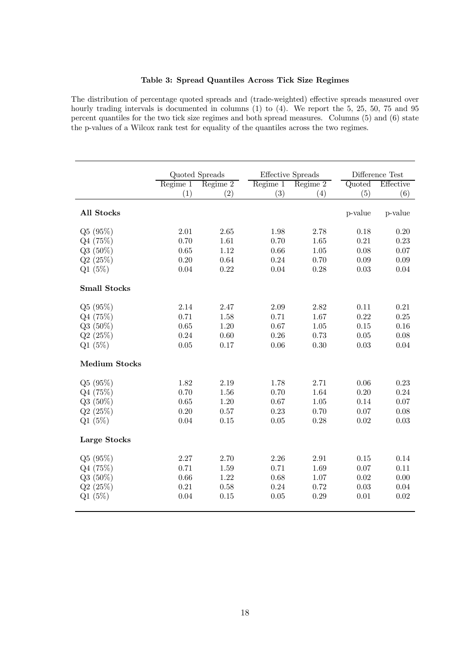#### Table 3: Spread Quantiles Across Tick Size Regimes

The distribution of percentage quoted spreads and (trade-weighted) effective spreads measured over hourly trading intervals is documented in columns (1) to (4). We report the 5, 25, 50, 75 and 95 percent quantiles for the two tick size regimes and both spread measures. Columns (5) and (6) state the p-values of a Wilcox rank test for equality of the quantiles across the two regimes.

|                      | Quoted Spreads               |          |          | <b>Effective Spreads</b> | Difference Test |           |
|----------------------|------------------------------|----------|----------|--------------------------|-----------------|-----------|
|                      | $\overline{\text{Regime }1}$ | Regime 2 | Regime 1 | Regime 2                 | Quoted          | Effective |
|                      | (1)                          | (2)      | (3)      | (4)                      | (5)             | (6)       |
| All Stocks           |                              |          |          |                          | p-value         | p-value   |
| Q5(95%)              | 2.01                         | 2.65     | 1.98     | 2.78                     | 0.18            | 0.20      |
| Q4(75%)              | 0.70                         | 1.61     | 0.70     | 1.65                     | 0.21            | 0.23      |
| $Q3(50\%)$           | 0.65                         | 1.12     | 0.66     | 1.05                     | 0.08            | 0.07      |
| Q2(25%)              | 0.20                         | 0.64     | 0.24     | 0.70                     | 0.09            | 0.09      |
| Q1(5%)               | 0.04                         | 0.22     | 0.04     | 0.28                     | 0.03            | 0.04      |
| <b>Small Stocks</b>  |                              |          |          |                          |                 |           |
| Q5(95%)              | 2.14                         | 2.47     | 2.09     | 2.82                     | 0.11            | 0.21      |
| Q4(75%)              | 0.71                         | 1.58     | 0.71     | 1.67                     | 0.22            | 0.25      |
| $Q3(50\%)$           | 0.65                         | 1.20     | 0.67     | 1.05                     | 0.15            | 0.16      |
| Q2(25%)              | 0.24                         | 0.60     | 0.26     | 0.73                     | 0.05            | 0.08      |
| Q1(5%)               | 0.05                         | 0.17     | 0.06     | 0.30                     | 0.03            | 0.04      |
| <b>Medium Stocks</b> |                              |          |          |                          |                 |           |
| Q5(95%)              | 1.82                         | 2.19     | 1.78     | $2.71\,$                 | 0.06            | 0.23      |
| Q4(75%)              | 0.70                         | 1.56     | 0.70     | 1.64                     | 0.20            | 0.24      |
| $Q3(50\%)$           | 0.65                         | 1.20     | 0.67     | 1.05                     | 0.14            | 0.07      |
| Q2(25%)              | 0.20                         | 0.57     | 0.23     | 0.70                     | 0.07            | 0.08      |
| Q1(5%)               | 0.04                         | 0.15     | $0.05\,$ | 0.28                     | 0.02            | 0.03      |
| Large Stocks         |                              |          |          |                          |                 |           |
| Q5(95%)              | 2.27                         | 2.70     | 2.26     | 2.91                     | 0.15            | 0.14      |
| Q4(75%)              | 0.71                         | 1.59     | 0.71     | 1.69                     | 0.07            | 0.11      |
| $Q3(50\%)$           | 0.66                         | 1.22     | 0.68     | 1.07                     | 0.02            | 0.00      |
| Q2(25%)              | 0.21                         | 0.58     | 0.24     | 0.72                     | 0.03            | 0.04      |
| Q1(5%)               | 0.04                         | 0.15     | 0.05     | 0.29                     | 0.01            | 0.02      |
|                      |                              |          |          |                          |                 |           |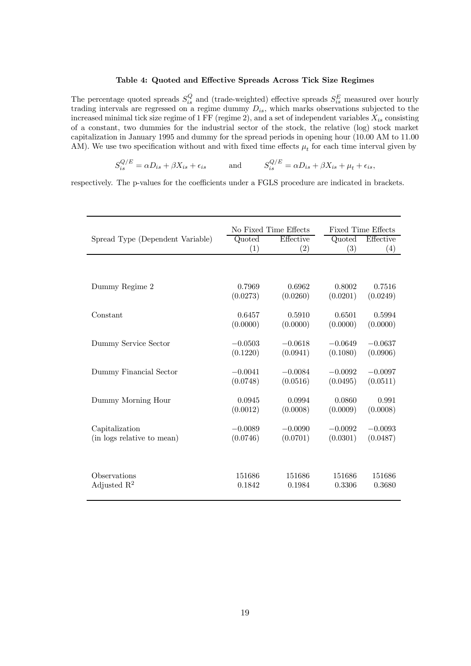#### Table 4: Quoted and Effective Spreads Across Tick Size Regimes

The percentage quoted spreads  $S_{is}^Q$  and (trade-weighted) effective spreads  $S_{is}^E$  measured over hourly trading intervals are regressed on a regime dummy  $D_{is}$ , which marks observations subjected to the increased minimal tick size regime of 1 FF (regime 2), and a set of independent variables  $X_{is}$  consisting of a constant, two dummies for the industrial sector of the stock, the relative (log) stock market capitalization in January 1995 and dummy for the spread periods in opening hour (10.00 AM to 11.00 AM). We use two specification without and with fixed time effects  $\mu_t$  for each time interval given by

$$
S_{is}^{Q/E} = \alpha D_{is} + \beta X_{is} + \epsilon_{is} \quad \text{and} \quad S_{is}^{Q/E} = \alpha D_{is} + \beta X_{is} + \mu_t + \epsilon_{is},
$$

respectively. The p-values for the coefficients under a FGLS procedure are indicated in brackets.

|                                  |           | No Fixed Time Effects | <b>Fixed Time Effects</b> |           |  |
|----------------------------------|-----------|-----------------------|---------------------------|-----------|--|
| Spread Type (Dependent Variable) | Quoted    | Effective             | Quoted                    | Effective |  |
|                                  | (1)       | (2)                   | (3)                       | (4)       |  |
|                                  |           |                       |                           |           |  |
| Dummy Regime 2                   | 0.7969    | 0.6962                | 0.8002                    | 0.7516    |  |
|                                  | (0.0273)  | (0.0260)              | (0.0201)                  | (0.0249)  |  |
| Constant                         | 0.6457    | 0.5910                | 0.6501                    | 0.5994    |  |
|                                  | (0.0000)  | (0.0000)              | (0.0000)                  | (0.0000)  |  |
| Dummy Service Sector             | $-0.0503$ | $-0.0618$             | $-0.0649$                 | $-0.0637$ |  |
|                                  | (0.1220)  | (0.0941)              | (0.1080)                  | (0.0906)  |  |
| Dummy Financial Sector           | $-0.0041$ | $-0.0084$             | $-0.0092$                 | $-0.0097$ |  |
|                                  | (0.0748)  | (0.0516)              | (0.0495)                  | (0.0511)  |  |
| Dummy Morning Hour               | 0.0945    | 0.0994                | 0.0860                    | 0.991     |  |
|                                  | (0.0012)  | (0.0008)              | (0.0009)                  | (0.0008)  |  |
| Capitalization                   | $-0.0089$ | $-0.0090$             | $-0.0092$                 | $-0.0093$ |  |
| (in logs relative to mean)       | (0.0746)  | (0.0701)              | (0.0301)                  | (0.0487)  |  |
|                                  |           |                       |                           |           |  |
| Observations                     | 151686    | 151686                | 151686                    | 151686    |  |
| Adjusted $\mathbb{R}^2$          | 0.1842    | 0.1984                | 0.3306                    | 0.3680    |  |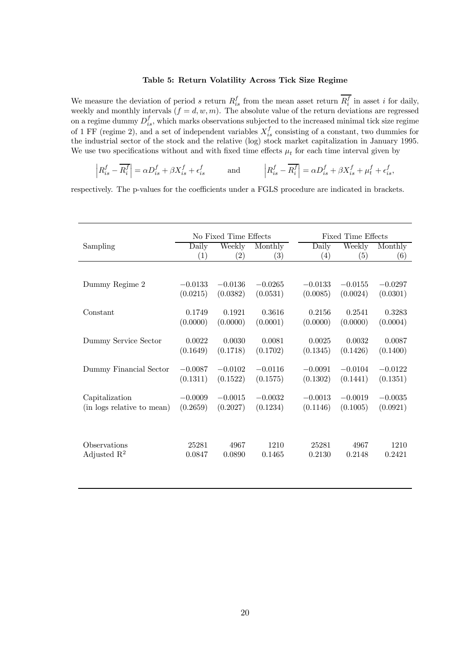#### Table 5: Return Volatility Across Tick Size Regime

We measure the deviation of period s return  $R_{is}^f$  from the mean asset return  $R_i^f$  in asset i for daily, weekly and monthly intervals  $(f = d, w, m)$ . The absolute value of the return deviations are regressed on a regime dummy  $D_{is}^f$ , which marks observations subjected to the increased minimal tick size regime of 1 FF (regime 2), and a set of independent variables  $X_{is}^f$  consisting of a constant, two dummies for the industrial sector of the stock and the relative (log) stock market capitalization in January 1995. We use two specifications without and with fixed time effects  $\mu_t$  for each time interval given by

$$
\left| R_{is}^f - \overline{R_i^f} \right| = \alpha D_{is}^f + \beta X_{is}^f + \epsilon_{is}^f \hspace{1cm}\text{and}\hspace{1cm} \left| R_{is}^f - \overline{R_i^f} \right| = \alpha D_{is}^f + \beta X_{is}^f + \mu_t^f + \epsilon_{is}^f,
$$

respectively. The p-values for the coefficients under a FGLS procedure are indicated in brackets.

|                            | No Fixed Time Effects |                    |                    |                    | <b>Fixed Time Effects</b> |                    |  |
|----------------------------|-----------------------|--------------------|--------------------|--------------------|---------------------------|--------------------|--|
| Sampling                   | Daily                 | Weekly             | Monthly            | Daily              | Weekly                    | Monthly            |  |
|                            | $\left( 1\right)$     | $\left( 2\right)$  | $\left( 3\right)$  | (4)                | (5)                       | (6)                |  |
|                            |                       |                    |                    |                    |                           |                    |  |
| Dummy Regime 2             | $-0.0133$             | $-0.0136$          | $-0.0265$          | $-0.0133$          | $-0.0155$                 | $-0.0297$          |  |
|                            | (0.0215)              | (0.0382)           | (0.0531)           | (0.0085)           | (0.0024)                  | (0.0301)           |  |
| Constant                   | 0.1749                | 0.1921             | 0.3616             | 0.2156             | 0.2541                    | 0.3283             |  |
|                            | (0.0000)              | (0.0000)           | (0.0001)           | (0.0000)           | (0.0000)                  | (0.0004)           |  |
|                            |                       |                    |                    |                    |                           |                    |  |
| Dummy Service Sector       | 0.0022<br>(0.1649)    | 0.0030<br>(0.1718) | 0.0081<br>(0.1702) | 0.0025<br>(0.1345) | 0.0032<br>(0.1426)        | 0.0087<br>(0.1400) |  |
|                            |                       |                    |                    |                    |                           |                    |  |
| Dummy Financial Sector     | $-0.0087$             | $-0.0102$          | $-0.0116$          | $-0.0091$          | $-0.0104$                 | $-0.0122$          |  |
|                            | (0.1311)              | (0.1522)           | (0.1575)           | (0.1302)           | (0.1441)                  | (0.1351)           |  |
| Capitalization             | $-0.0009$             | $-0.0015$          | $-0.0032$          | $-0.0013$          | $-0.0019$                 | $-0.0035$          |  |
| (in logs relative to mean) | (0.2659)              | (0.2027)           | (0.1234)           | (0.1146)           | (0.1005)                  | (0.0921)           |  |
|                            |                       |                    |                    |                    |                           |                    |  |
|                            |                       |                    |                    |                    |                           |                    |  |
| Observations               | 25281                 | 4967               | 1210               | 25281              | 4967                      | 1210               |  |
| Adjusted $\mathbb{R}^2$    | 0.0847                | 0.0890             | 0.1465             | 0.2130             | 0.2148                    | 0.2421             |  |
|                            |                       |                    |                    |                    |                           |                    |  |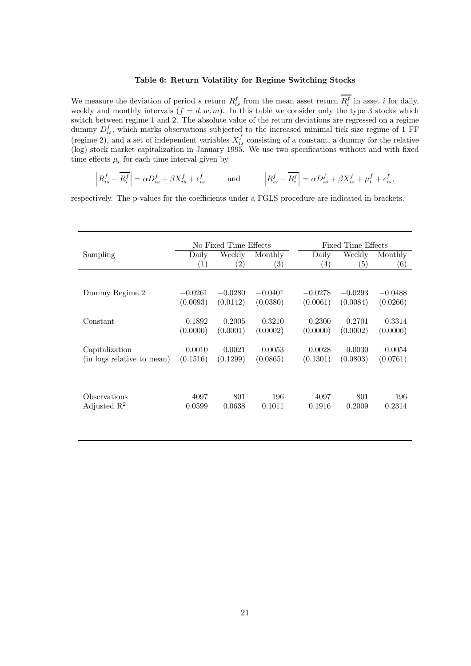#### Table 6: Return Volatility for Regime Switching Stocks

We measure the deviation of period s return  $R_{is}^f$  from the mean asset return  $R_i^f$  in asset i for daily, weekly and monthly intervals  $(f = d, w, m)$ . In this table we consider only the type 3 stocks which switch between regime 1 and 2. The absolute value of the return deviations are regressed on a regime dummy  $D_{is}^f$ , which marks observations subjected to the increased minimal tick size regime of 1 FF (regime 2), and a set of independent variables  $X_{is}^f$  consisting of a constant, a dummy for the relative (log) stock market capitalization in January 1995. We use two specifications without and with fixed time effects  $\mu_t$  for each time interval given by

$$
\left| R_{is}^f - \overline{R_i^f} \right| = \alpha D_{is}^f + \beta X_{is}^f + \epsilon_{is}^f \qquad \text{and} \qquad \left| R_{is}^f - \overline{R_i^f} \right| = \alpha D_{is}^f + \beta X_{is}^f + \mu_t^f + \epsilon_{is}^f,
$$

respectively. The p-values for the coefficients under a FGLS procedure are indicated in brackets.

|                                         | No Fixed Time Effects      |                             |                              |                    | Fixed Time Effects |                    |  |
|-----------------------------------------|----------------------------|-----------------------------|------------------------------|--------------------|--------------------|--------------------|--|
| Sampling                                | Daily<br>$\left( 1\right)$ | Weekly<br>$\left( 2\right)$ | Monthly<br>$\left( 3\right)$ | Daily<br>(4)       | Weekly<br>(5)      | Monthly<br>(6)     |  |
|                                         |                            |                             |                              |                    |                    |                    |  |
| Dummy Regime 2                          | $-0.0261$                  | $-0.0280$                   | $-0.0401$                    | $-0.0278$          | $-0.0293$          | $-0.0488$          |  |
|                                         | (0.0093)                   | (0.0142)                    | (0.0380)                     | (0.0061)           | (0.0084)           | (0.0266)           |  |
| Constant                                | 0.1892<br>(0.0000)         | 0.2005<br>(0.0001)          | 0.3210<br>(0.0002)           | 0.2300<br>(0.0000) | 0.2701<br>(0.0002) | 0.3314<br>(0.0006) |  |
| Capitalization                          | $-0.0010$                  | $-0.0021$                   | $-0.0053$                    | $-0.0028$          | $-0.0030$          | $-0.0054$          |  |
| (in logs relative to mean)              | (0.1516)                   | (0.1299)                    | (0.0865)                     | (0.1301)           | (0.0803)           | (0.0761)           |  |
| Observations<br>Adjusted $\mathbb{R}^2$ | 4097<br>0.0599             | 801<br>0.0638               | 196<br>0.1011                | 4097<br>0.1916     | 801<br>0.2009      | 196<br>0.2314      |  |